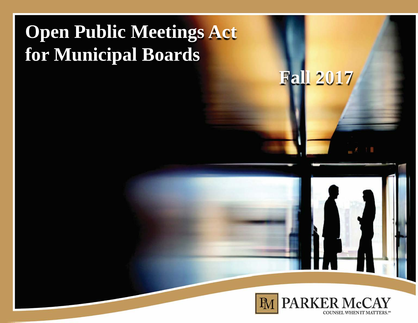## **Open Public Meetings Act for Municipal Boards**

**Fall 2017**

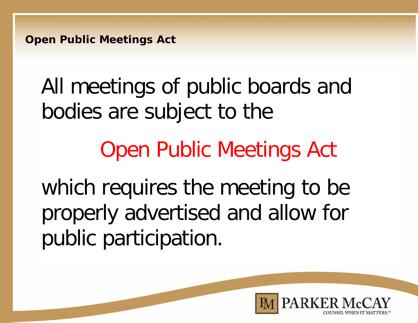**Open Public Meetings Act**

# All meetings of public boards and bodies are subject to the

# Open Public Meetings Act

which requires the meeting to be properly advertised and allow for public participation.

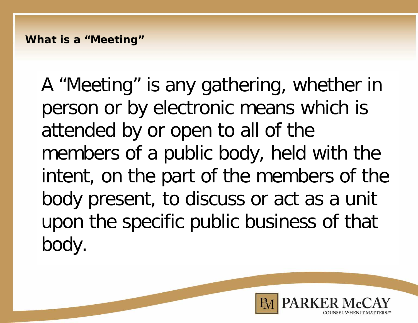A "Meeting" is any gathering, whether in person or by electronic means which is attended by or open to all of the members of a public body, held with the intent, on the part of the members of the body present, to discuss or act as a unit upon the specific public business of that body.

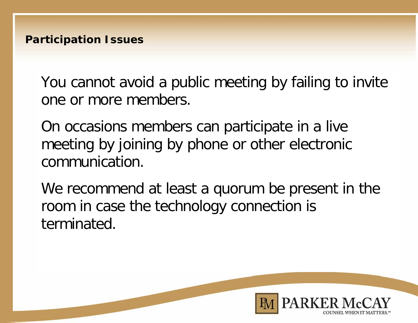You cannot avoid a public meeting by failing to invite one or more members.

On occasions members can participate in a live meeting by joining by phone or other electronic communication.

We recommend at least a quorum be present in the room in case the technology connection is terminated.

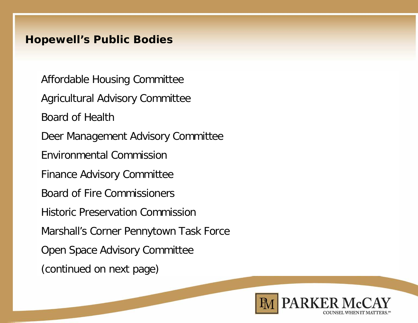#### **Hopewell's Public Bodies**

Affordable Housing Committee Agricultural Advisory Committee Board of Health Deer Management Advisory Committee Environmental Commission Finance Advisory Committee Board of Fire Commissioners Historic Preservation Commission Marshall's Corner Pennytown Task Force Open Space Advisory Committee (continued on next page)

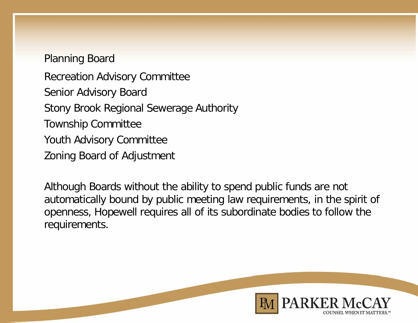### Planning Board

Recreation Advisory Committee Senior Advisory Board Stony Brook Regional Sewerage Authority Township Committee Youth Advisory Committee Zoning Board of Adjustment

Although Boards without the ability to spend public funds are not automatically bound by public meeting law requirements, in the spirit of openness, Hopewell requires all of its subordinate bodies to follow the requirements.

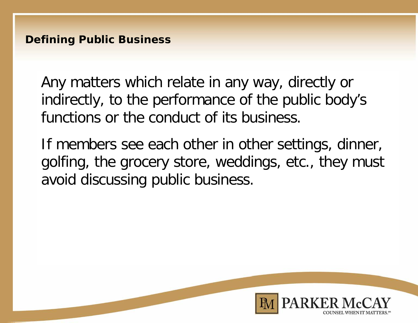**Defining Public Business**

Any matters which relate in any way, directly or indirectly, to the performance of the public body's functions or the conduct of its business.

If members see each other in other settings, dinner, golfing, the grocery store, weddings, etc., they must avoid discussing public business.

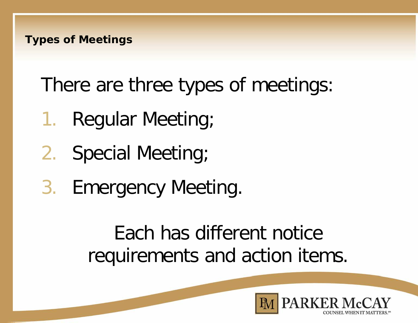There are three types of meetings:

- 1. Regular Meeting;
- 2. Special Meeting;
- 3. Emergency Meeting.

Each has different notice requirements and action items.

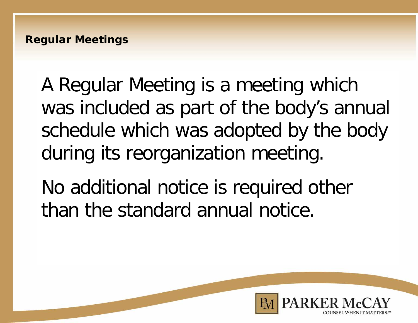A Regular Meeting is a meeting which was included as part of the body's annual schedule which was adopted by the body during its reorganization meeting.

No additional notice is required other than the standard annual notice.

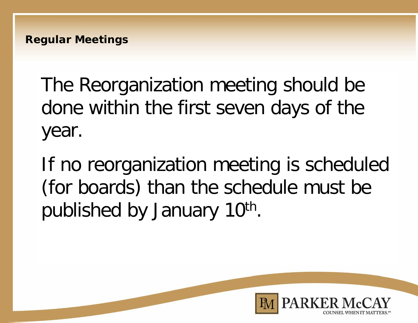The Reorganization meeting should be done within the first seven days of the year.

If no reorganization meeting is scheduled (for boards) than the schedule must be published by January 10<sup>th</sup>.

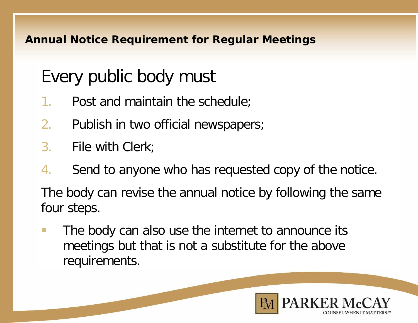#### **Annual Notice Requirement for Regular Meetings**

### Every public body must

- 1. Post and maintain the schedule;
- 2. Publish in two official newspapers;
- 3. File with Clerk;
- 4. Send to anyone who has requested copy of the notice.

The body can revise the annual notice by following the same four steps.

**The body can also use the internet to announce its** meetings but that is not a substitute for the above requirements.

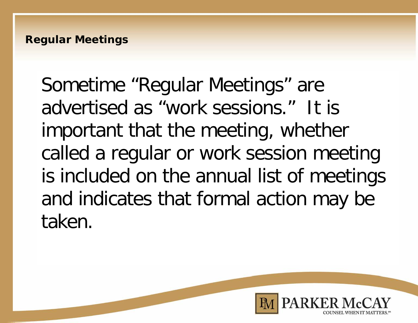Sometime "Regular Meetings" are advertised as "work sessions." It is important that the meeting, whether called a regular or work session meeting is included on the annual list of meetings and indicates that formal action may be taken.

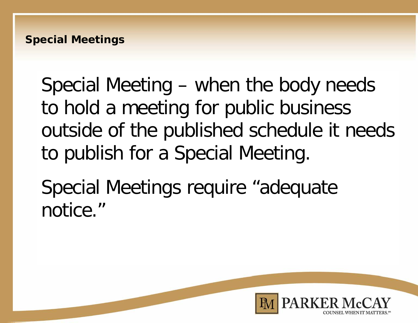Special Meeting – when the body needs to hold a meeting for public business outside of the published schedule it needs to publish for a Special Meeting.

Special Meetings require "adequate notice."

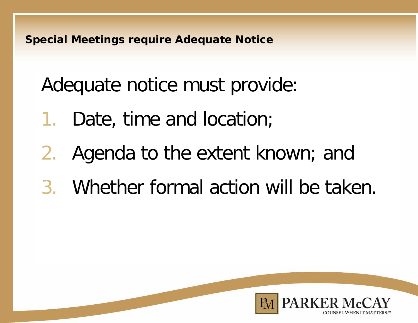**Special Meetings require Adequate Notice**

Adequate notice must provide:

- 1. Date, time and location;
- 2. Agenda to the extent known; and
- 3. Whether formal action will be taken.

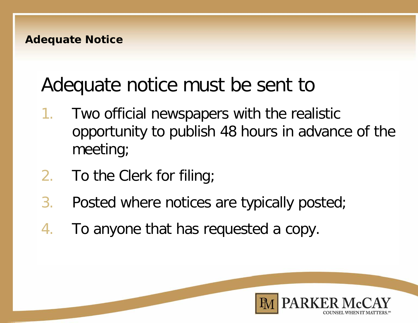### Adequate notice must be sent to

- 1. Two official newspapers with the realistic opportunity to publish 48 hours in advance of the meeting;
- 2. To the Clerk for filing;
- 3. Posted where notices are typically posted;
- 4. To anyone that has requested a copy.

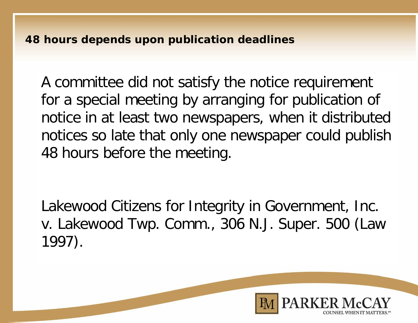**48 hours depends upon publication deadlines**

A committee did not satisfy the notice requirement for a special meeting by arranging for publication of notice in at least two newspapers, when it distributed notices so late that only one newspaper could publish 48 hours before the meeting.

Lakewood Citizens for Integrity in Government, Inc. v. Lakewood Twp. Comm., 306 N.J. Super. 500 (Law 1997).

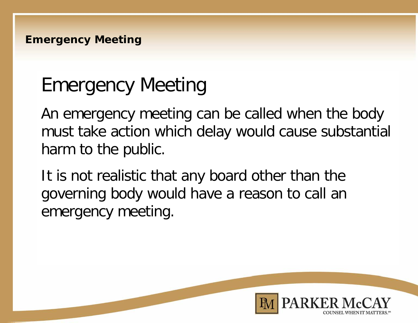### Emergency Meeting

An emergency meeting can be called when the body must take action which delay would cause substantial harm to the public.

It is not realistic that any board other than the governing body would have a reason to call an emergency meeting.

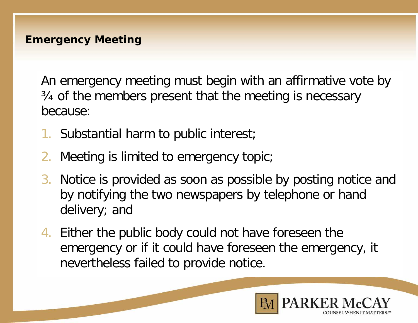An emergency meeting must begin with an affirmative vote by ¾ of the members present that the meeting is necessary because:

- 1. Substantial harm to public interest;
- 2. Meeting is limited to emergency topic;
- 3. Notice is provided as soon as possible by posting notice and by notifying the two newspapers by telephone or hand delivery; and
- 4. Either the public body could not have foreseen the emergency or if it could have foreseen the emergency, it nevertheless failed to provide notice.

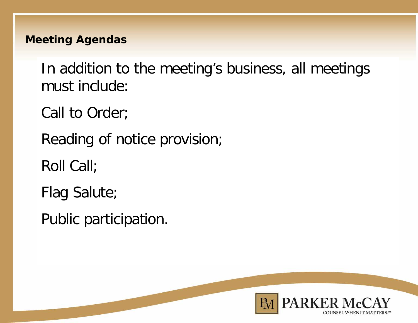#### **Meeting Agendas**

In addition to the meeting's business, all meetings must include:

Call to Order;

Reading of notice provision;

Roll Call;

Flag Salute;

Public participation.

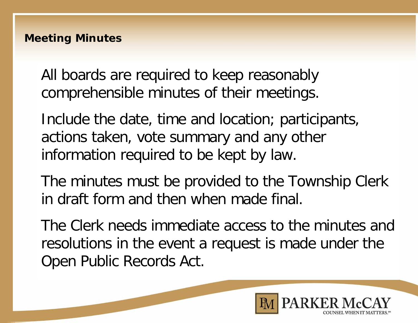All boards are required to keep reasonably comprehensible minutes of their meetings.

Include the date, time and location; participants, actions taken, vote summary and any other information required to be kept by law.

The minutes must be provided to the Township Clerk in draft form and then when made final.

The Clerk needs immediate access to the minutes and resolutions in the event a request is made under the Open Public Records Act.

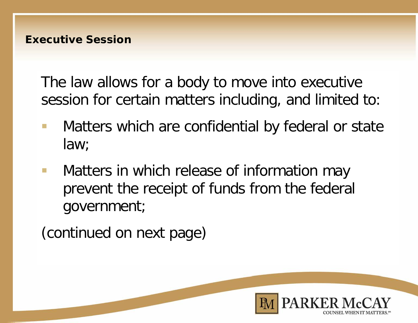The law allows for a body to move into executive session for certain matters including, and limited to:

- **Natters which are confidential by federal or state** law;
- **Matters in which release of information may** prevent the receipt of funds from the federal government;

(continued on next page)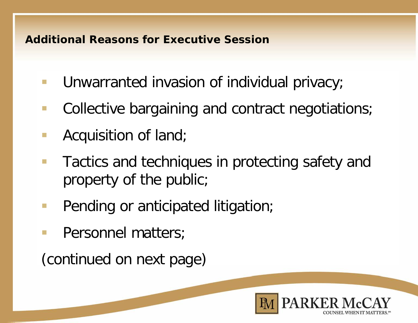#### **Additional Reasons for Executive Session**

- **Unwarranted invasion of individual privacy;**
- Collective bargaining and contract negotiations;
- **Acquisition of land;**
- **Tactics and techniques in protecting safety and** property of the public;
- **Pending or anticipated litigation;**
- **Personnel matters;**

(continued on next page)

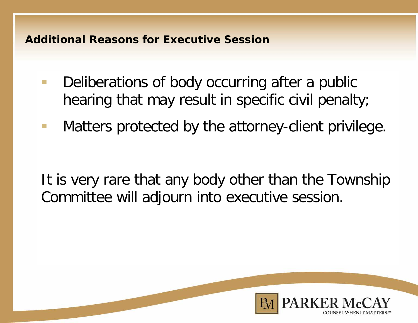#### **Additional Reasons for Executive Session**

- **Deliberations of body occurring after a public** hearing that may result in specific civil penalty;
- **Matters protected by the attorney-client privilege.**

It is very rare that any body other than the Township Committee will adjourn into executive session.

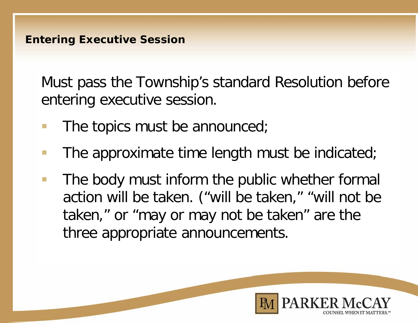Must pass the Township's standard Resolution before entering executive session.

- $\blacksquare$  The topics must be announced;
- **The approximate time length must be indicated;**
- **The body must inform the public whether formal** action will be taken. ("will be taken," "will not be taken," or "may or may not be taken" are the three appropriate announcements.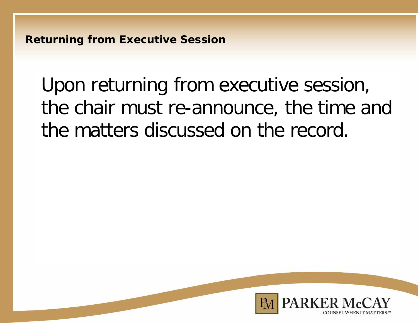**Returning from Executive Session**

Upon returning from executive session, the chair must re-announce, the time and the matters discussed on the record.

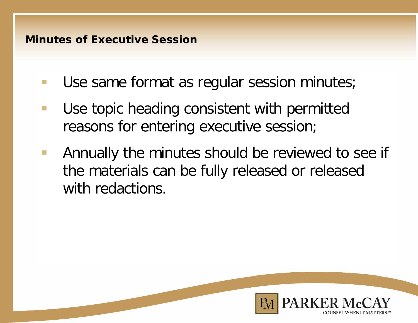#### **Minutes of Executive Session**

- **Use same format as regular session minutes;**
- **Use topic heading consistent with permitted** reasons for entering executive session;
- **Annually the minutes should be reviewed to see if** the materials can be fully released or released with redactions.

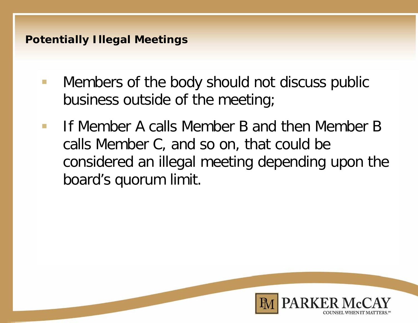#### **Potentially Illegal Meetings**

- **Nembers of the body should not discuss public** business outside of the meeting;
- If Member A calls Member B and then Member B calls Member C, and so on, that could be considered an illegal meeting depending upon the board's quorum limit.

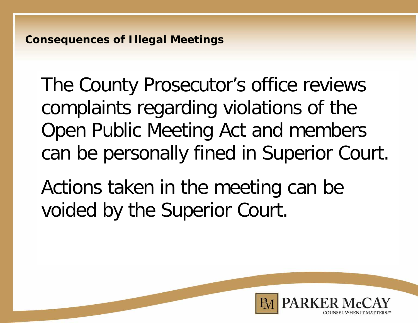The County Prosecutor's office reviews complaints regarding violations of the Open Public Meeting Act and members can be personally fined in Superior Court.

Actions taken in the meeting can be voided by the Superior Court.

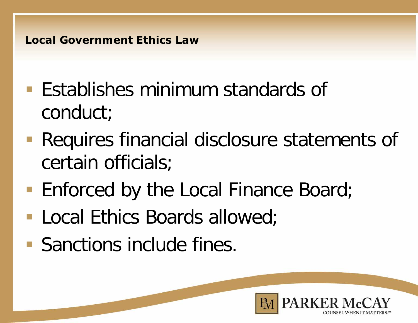#### **Local Government Ethics Law**

- **Establishes minimum standards of** conduct;
- **Requires financial disclosure statements of** certain officials;
- Enforced by the Local Finance Board;
- **Local Ethics Boards allowed;**
- **Sanctions include fines.**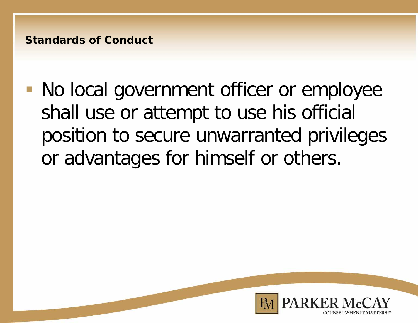#### **Standards of Conduct**

 No local government officer or employee shall use or attempt to use his official position to secure unwarranted privileges or advantages for himself or others.

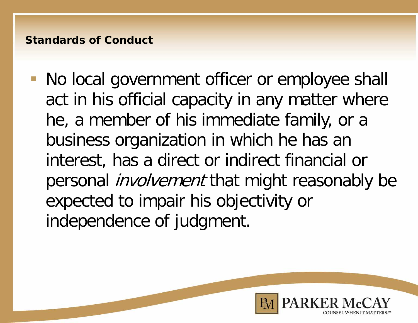#### **Standards of Conduct**

 No local government officer or employee shall act in his official capacity in any matter where he, a member of his immediate family, or a business organization in which he has an interest, has a direct or indirect financial or personal *involvement* that might reasonably be expected to impair his objectivity or independence of judgment.

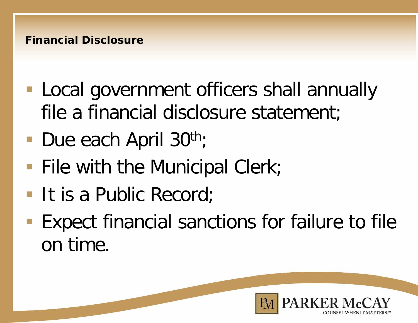#### **Financial Disclosure**

- **Local government officers shall annually** file a financial disclosure statement;
- Due each April  $30<sup>th</sup>$ ;
- **File with the Municipal Clerk;**
- It is a Public Record;
- **Expect financial sanctions for failure to file** on time.

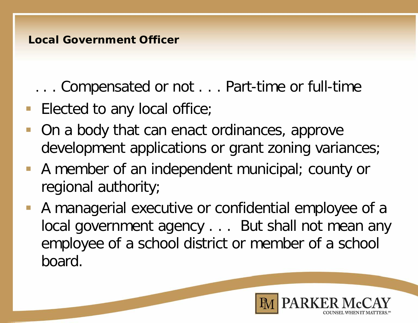. . . Compensated or not . . . Part-time or full-time

- **Elected to any local office;**
- On a body that can enact ordinances, approve development applications or grant zoning variances;
- A member of an independent municipal; county or regional authority;
- A managerial executive or confidential employee of a local government agency . . . But shall not mean any employee of a school district or member of a school board.